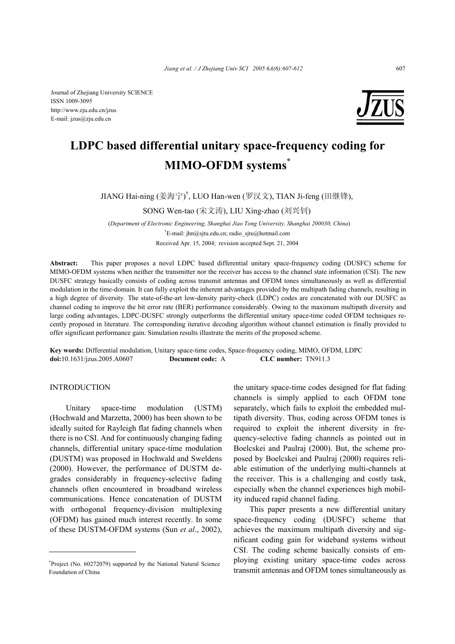Journal of Zhejiang University SCIENCE ISSN 1009-3095 http://www.zju.edu.cn/jzus E-mail: jzus@zju.edu.cn



# **LDPC based differential unitary space-frequency coding for MIMO-OFDM systems\***

JIANG Hai-ning (姜海宁) † , LUO Han-wen (罗汉文), TIAN Ji-feng (田继锋),

SONG Wen-tao (宋文涛), LIU Xing-zhao (刘兴钊)

(*Department of Electronic Engineering, Shanghai Jiao Tong University, Shanghai 200030, China*) † E-mail: jhn@sjtu.edu.cn; radio\_sjtu@hotmail.com Received Apr. 15, 2004; revision accepted Sept. 21, 2004

**Abstract:** This paper proposes a novel LDPC based differential unitary space-frequency coding (DUSFC) scheme for MIMO-OFDM systems when neither the transmitter nor the receiver has access to the channel state information (CSI). The new DUSFC strategy basically consists of coding across transmit antennas and OFDM tones simultaneously as well as differential modulation in the time-domain. It can fully exploit the inherent advantages provided by the multipath fading channels, resulting in a high degree of diversity. The state-of-the-art low-density parity-check (LDPC) codes are concatenated with our DUSFC as channel coding to improve the bit error rate (BER) performance considerably. Owing to the maximum multipath diversity and large coding advantages, LDPC-DUSFC strongly outperforms the differential unitary space-time coded OFDM techniques recently proposed in literature. The corresponding iterative decoding algorithm without channel estimation is finally provided to offer significant performance gain. Simulation results illustrate the merits of the proposed scheme.

**Key words:** Differential modulation, Unitary space-time codes, Space-frequency coding, MIMO, OFDM, LDPC **doi:**10.1631/jzus.2005.A0607 **Document code:** A **CLC number:** TN911.3

# **INTRODUCTION**

Unitary space-time modulation (USTM) (Hochwald and Marzetta, 2000) has been shown to be ideally suited for Rayleigh flat fading channels when there is no CSI. And for continuously changing fading channels, differential unitary space-time modulation (DUSTM) was proposed in Hochwald and Sweldens (2000). However, the performance of DUSTM degrades considerably in frequency-selective fading channels often encountered in broadband wireless communications. Hence concatenation of DUSTM with orthogonal frequency-division multiplexing (OFDM) has gained much interest recently. In some of these DUSTM-OFDM systems (Sun *et al*., 2002), the unitary space-time codes designed for flat fading channels is simply applied to each OFDM tone separately, which fails to exploit the embedded multipath diversity. Thus, coding across OFDM tones is required to exploit the inherent diversity in frequency-selective fading channels as pointed out in Boelcskei and Paulraj (2000). But, the scheme proposed by Boelcskei and Paulraj (2000) requires reliable estimation of the underlying multi-channels at the receiver. This is a challenging and costly task, especially when the channel experiences high mobility induced rapid channel fading.

This paper presents a new differential unitary space-frequency coding (DUSFC) scheme that achieves the maximum multipath diversity and significant coding gain for wideband systems without CSI. The coding scheme basically consists of employing existing unitary space-time codes across transmit antennas and OFDM tones simultaneously as

<sup>\*</sup> Project (No. 60272079) supported by the National Natural Science Foundation of China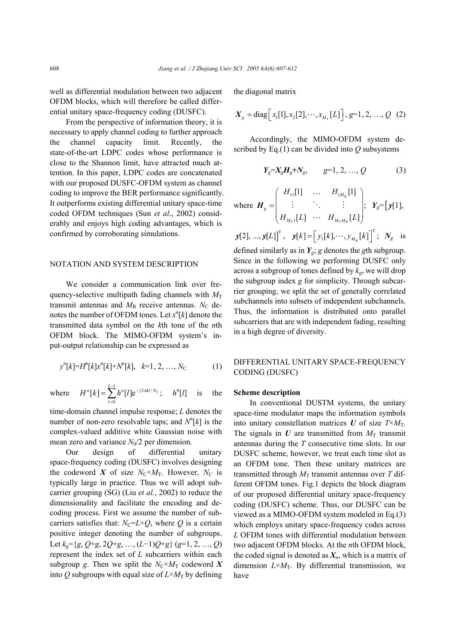well as differential modulation between two adjacent OFDM blocks, which will therefore be called differential unitary space-frequency coding (DUSFC).

From the perspective of information theory, it is necessary to apply channel coding to further approach the channel capacity limit. Recently, the state-of-the-art LDPC codes whose performance is close to the Shannon limit, have attracted much attention. In this paper, LDPC codes are concatenated with our proposed DUSFC-OFDM system as channel coding to improve the BER performance significantly. It outperforms existing differential unitary space-time coded OFDM techniques (Sun *et al*., 2002) considerably and enjoys high coding advantages, which is confirmed by corroborating simulations.

# NOTATION AND SYSTEM DESCRIPTION

We consider a communication link over frequency-selective multipath fading channels with  $M_T$ transmit antennas and  $M_R$  receive antennas.  $N_C$  denotes the number of OFDM tones. Let  $x^n[k]$  denote the transmitted data symbol on the *k*th tone of the *n*th OFDM block. The MIMO-OFDM system's input-output relationship can be expressed as

$$
y^{n}[k] = H^{n}[k]x^{n}[k] + N^{n}[k], \quad k=1, 2, ..., N_{C}
$$
 (1)

where  $H^n[k] = \sum_{n=1}^{L-1} h^n[l] e^{-j2\pi kl/N_c}$ 0  $^{n}[k] = \sum_{l}^{L-1} h^{n}[l] e^{-j2\pi kl/N_c}$ ; *l*  $H^{n}[k] = \sum_{l}^{L-1} h^{n}[l] e^{-j2\pi}$  $=\sum_{l=0}^{n} h^{n}[l] e^{-j2\pi kl/N_c}; \quad h^{n}[l]$  is the

time-domain channel impulse response; *L* denotes the number of non-zero resolvable taps; and  $N^n[k]$  is the complex-valued additive white Gaussian noise with mean zero and variance  $N_0/2$  per dimension.

Our design of differential unitary space-frequency coding (DUSFC) involves designing the codeword *X* of size  $N_{\rm C} \times M_{\rm T}$ . However,  $N_{\rm C}$  is typically large in practice. Thus we will adopt subcarrier grouping (SG) (Liu *et al.*, 2002) to reduce the dimensionality and facilitate the encoding and decoding process. First we assume the number of subcarriers satisfies that:  $N_C = L \times Q$ , where *Q* is a certain positive integer denoting the number of subgroups. Let *kg*={*g*, *Q*+*g*, 2*Q*+*g*, …, (*L*−1)*Q*+*g*} (*g*=1, 2, …, *Q*) represent the index set of *L* subcarriers within each subgroup *g*. Then we split the  $N_c \times M_T$  codeword X into *Q* subgroups with equal size of  $L \times M_T$  by defining the diagonal matrix

$$
X_{g} = \text{diag}\Big[x_{1}[1], x_{2}[2], \cdots, x_{M_{T}}[L]\Big], g=1, 2, ..., Q \quad (2)
$$

Accordingly, the MIMO-OFDM system described by Eq.(1) can be divided into *Q* subsystems

$$
Y_g = X_g H_g + N_g, \qquad g = 1, 2, ..., Q \tag{3}
$$

where 
$$
\boldsymbol{H}_{g} = \begin{pmatrix} H_{11}[1] & \cdots & H_{1M_{R}}[1] \\ \vdots & \ddots & \vdots \\ H_{M_{T}1}[L] & \cdots & H_{M_{T}M_{R}}[L] \end{pmatrix}; \quad \boldsymbol{Y}_{g} = [\boldsymbol{y}[1],
$$

 $\mathbf{y}[2], ..., \mathbf{y}[L]$ <sup>T</sup>,  $\mathbf{y}[k] = [y_1[k], ..., y_{M_R}[k]]$ <sup>T</sup>;  $N_g$  is

defined similarly as in  $Y_g$ ; *g* denotes the *g*th subgroup. Since in the following we performing DUSFC only across a subgroup of tones defined by *kg*, we will drop the subgroup index *g* for simplicity. Through subcarrier grouping, we split the set of generally correlated subchannels into subsets of independent subchannels. Thus, the information is distributed onto parallel subcarriers that are with independent fading, resulting in a high degree of diversity.

# DIFFERENTIAL UNITARY SPACE-FREQUENCY CODING (DUSFC)

## **Scheme description**

In conventional DUSTM systems, the unitary space-time modulator maps the information symbols into unitary constellation matrices  $U$  of size  $T \times M_T$ . The signals in  $U$  are transmitted from  $M<sub>T</sub>$  transmit antennas during the *T* consecutive time slots. In our DUSFC scheme, however, we treat each time slot as an OFDM tone. Then these unitary matrices are transmitted through  $M_T$  transmit antennas over *T* different OFDM tones. Fig.1 depicts the block diagram of our proposed differential unitary space-frequency coding (DUSFC) scheme. Thus, our DUSFC can be viewed as a MIMO-OFDM system modeled in Eq.(3) which employs unitary space-frequency codes across *L* OFDM tones with differential modulation between two adjacent OFDM blocks. At the *n*th OFDM block, the coded signal is denoted as  $X_n$ , which is a matrix of dimension  $L \times M$ <sub>T</sub>. By differential transmission, we have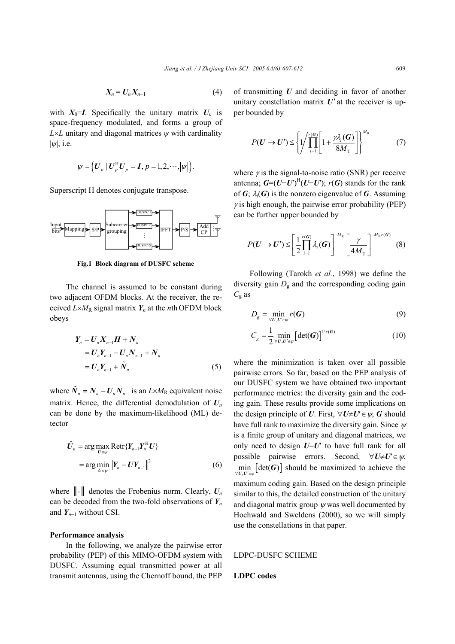$$
X_n = U_n X_{n-1} \tag{4}
$$

with  $X_0=I$ . Specifically the unitary matrix  $U_n$  is space-frequency modulated, and forms a group of  $L \times L$  unitary and diagonal matrices  $\psi$  with cardinality |*ψ*|, i.e.

$$
\psi = \left\{ \boldsymbol{U}_p \mid \boldsymbol{U}_p^{\mathrm{H}} \boldsymbol{U}_p = \boldsymbol{I}, p = 1, 2, \cdots, |\psi| \right\}.
$$

Superscript H denotes conjugate transpose.



Fig.1 Block diagram of DUSFC scheme

The channel is assumed to be constant during two adjacent OFDM blocks. At the receiver, the received  $L \times M_R$  signal matrix  $Y_n$  at the *n*th OFDM block obeys

$$
Y_{n} = U_{n} X_{n-1} H + N_{n}
$$
  
=  $U_{n} Y_{n-1} - U_{n} N_{n-1} + N_{n}$   
=  $U_{n} Y_{n-1} + \tilde{N}_{n}$  (5)

where  $\tilde{N}_n = N_n - U_n N_{n-1}$  is an  $L \times M_R$  equivalent noise matrix. Hence, the differential demodulation of  $U_n$ can be done by the maximum-likelihood (ML) detector

$$
\hat{U}_n = \arg \max_{U \in \psi} \text{Retr}\{Y_{n-1}Y_n^H U\}
$$

$$
= \arg \min_{U \in \psi} \|Y_n - UY_{n-1}\|^2 \tag{6}
$$

where  $\|\cdot\|$  denotes the Frobenius norm. Clearly,  $U_n$ can be decoded from the two-fold observations of  $Y_n$ and  $Y_{n-1}$  without CSI.

#### **Performance analysis**

In the following, we analyze the pairwise error probability (PEP) of this MIMO-OFDM system with DUSFC. Assuming equal transmitted power at all transmit antennas, using the Chernoff bound, the PEP

of transmitting *U* and deciding in favor of another unitary constellation matrix  $U'$  at the receiver is upper bounded by

$$
P(\boldsymbol{U} \to \boldsymbol{U}') \leq \left\{ \frac{1}{\prod_{i=1}^{r(G)}} \left[ 1 + \frac{\gamma \lambda_i(\boldsymbol{G})}{8M_\mathrm{T}} \right] \right\}^{M_\mathrm{R}} \tag{7}
$$

where  $\gamma$  is the signal-to-noise ratio (SNR) per receive antenna;  $G=(U-U)^{H}(U-U)$ ; *r*(*G*) stands for the rank of  $G$ ;  $\lambda_i(G)$  is the nonzero eigenvalue of  $G$ . Assuming  $\gamma$  is high enough, the pairwise error probability (PEP) can be further upper bounded by

$$
P(\boldsymbol{U}\to\boldsymbol{U}')\leq\left[\frac{1}{2}\prod_{i=1}^{r(G)}\lambda_i(\boldsymbol{G})\right]^{-M_{\rm R}}\left[\frac{\gamma}{4M_{\rm T}}\right]^{-M_{\rm R}r(\boldsymbol{G})}\tag{8}
$$

Following (Tarokh *et al.*, 1998) we define the diversity gain  $D_{\rm g}$  and the corresponding coding gain *C*g as

$$
D_g = \min_{\forall U, U' \in \psi} r(G) \tag{9}
$$

$$
C_g = \frac{1}{2} \min_{\forall U, U' \in \mathcal{W}} \left[ \det(G) \right]^{1/r(G)} \tag{10}
$$

where the minimization is taken over all possible pairwise errors. So far, based on the PEP analysis of our DUSFC system we have obtained two important performance metrics: the diversity gain and the coding gain. These results provide some implications on the design principle of *U*. First,  $\forall U \neq U' \in \psi$ , *G* should have full rank to maximize the diversity gain. Since  $\psi$ is a finite group of unitary and diagonal matrices, we only need to design *U*−*U*′ to have full rank for all possible pairwise errors. Second, ∀*U*≠*U*′∈ψ,  $\min_{\forall U, U' \in \mathcal{U}} \left[ \det(G) \right]$  should be maximized to achieve the maximum coding gain. Based on the design principle similar to this, the detailed construction of the unitary and diagonal matrix group  $\psi$  was well documented by Hochwald and Sweldens (2000), so we will simply use the constellations in that paper.

# LDPC-DUSFC SCHEME

#### **LDPC codes**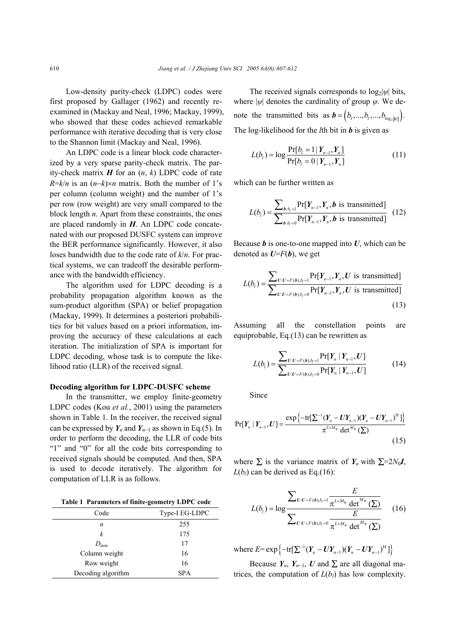Low-density parity-check (LDPC) codes were first proposed by Gallager (1962) and recently reexamined in (Mackay and Neal, 1996; Mackay, 1999), who showed that these codes achieved remarkable performance with iterative decoding that is very close to the Shannon limit (Mackay and Neal, 1996).

An LDPC code is a linear block code characterized by a very sparse parity-check matrix. The parity-check matrix  $H$  for an  $(n, k)$  LDPC code of rate  $R=k/n$  is an  $(n-k) \times n$  matrix. Both the number of 1's per column (column weight) and the number of 1's per row (row weight) are very small compared to the block length *n*. Apart from these constraints, the ones are placed randomly in *H*. An LDPC code concatenated with our proposed DUSFC system can improve the BER performance significantly. However, it also loses bandwidth due to the code rate of *k*/*n*. For practical systems, we can tradeoff the desirable performance with the bandwidth efficiency.

The algorithm used for LDPC decoding is a probability propagation algorithm known as the sum-product algorithm (SPA) or belief propagation (Mackay, 1999). It determines a posteriori probabilities for bit values based on a priori information, improving the accuracy of these calculations at each iteration. The initialization of SPA is important for LDPC decoding, whose task is to compute the likelihood ratio (LLR) of the received signal.

#### **Decoding algorithm for LDPC-DUSFC scheme**

In the transmitter, we employ finite-geometry LDPC codes (Kou *et al.*, 2001) using the parameters shown in Table 1. In the receiver, the received signal can be expressed by  $Y_n$  and  $Y_{n-1}$  as shown in Eq.(5). In order to perform the decoding, the LLR of code bits "1" and "0" for all the code bits corresponding to received signals should be computed. And then, SPA is used to decode iteratively. The algorithm for computation of LLR is as follows.

|  | Table 1 Parameters of finite-geometry LDPC code |  |
|--|-------------------------------------------------|--|
|  |                                                 |  |

| Code               | Type-I EG-LDPC |  |
|--------------------|----------------|--|
| n                  | 255            |  |
| k                  | 175            |  |
| $D_{\min}$         | 17             |  |
| Column weight      | 16             |  |
| Row weight         | 16             |  |
| Decoding algorithm | <b>SPA</b>     |  |

The received signals corresponds to log<sub>2</sub>|*ψ*| bits, where  $|\psi|$  denotes the cardinality of group  $\psi$ . We denote the transmitted bits as  $\mathbf{b} = (b_1, ..., b_l, ..., b_{\log_l |\psi|})$ . The log-likelihood for the *l*th bit in *b* is given as

$$
L(b_i) = \log \frac{\Pr[b_i = 1 | Y_{n-1}, Y_n]}{\Pr[b_i = 0 | Y_{n-1}, Y_n]}
$$
\n(11)

which can be further written as

$$
L(b_i) = \frac{\sum_{b:b_i=1} \Pr[Y_{n-1}, Y_n, b \text{ is transmitted}]}{\sum_{b:b_i=0} \Pr[Y_{n-1}, Y_n, b \text{ is transmitted}]} \quad (12)
$$

Because  $\boldsymbol{b}$  is one-to-one mapped into  $\boldsymbol{U}$ , which can be denoted as  $U=F(b)$ , we get

$$
L(b_i) = \frac{\sum_{U:U=F(b),b_i=1} \Pr[Y_{n-1}, Y_n, U \text{ is transmitted}]}{\sum_{U:U=F(b),b_i=0} \Pr[Y_{n-1}, Y_n, U \text{ is transmitted}]} \tag{13}
$$

Assuming all the constellation points are equiprobable, Eq.(13) can be rewritten as

$$
L(b_i) = \frac{\sum_{U:U=F(b),b_i=1} \Pr[Y_n | Y_{n-1}, U]}{\sum_{U:U=F(b),b_i=0} \Pr[Y_n | Y_{n-1}, U]}
$$
(14)

Since

$$
Pr[Y_n | Y_{n-1}, U] = \frac{\exp\left\{-\text{tr}[\sum_{l}^{1} (Y_n - UY_{n-1})(Y_n - UY_{n-1})^H]\right\}}{\pi^{L \times M_R} \det^{M_R}(\sum)}
$$
(15)

where  $\sum$  is the variance matrix of  $Y_n$  with  $\Sigma = 2N_0 I$ ,  $L(b_i)$  can be derived as Eq.(16):

$$
L(b_{i}) = \log \frac{\sum_{U:U=F(b),b_{i}=1} \frac{E}{\pi^{L \times M_{R}} \det^{M_{R}}(\Sigma)}}{\sum_{U:U=F(b),b_{i}=0} \frac{E}{\pi^{L \times M_{R}} \det^{M_{R}}(\Sigma)}}
$$
(16)

where  $E=$   $\exp \left\{-\text{tr}[\sum^{-1}(Y_{n}-UY_{n-1})(Y_{n}-UY_{n-1})^{\text{H}}]\right\}$ 

Because  $Y_n$ ,  $Y_{n-1}$ ,  $U$  and  $\Sigma$  are all diagonal matrices, the computation of  $L(b_l)$  has low complexity.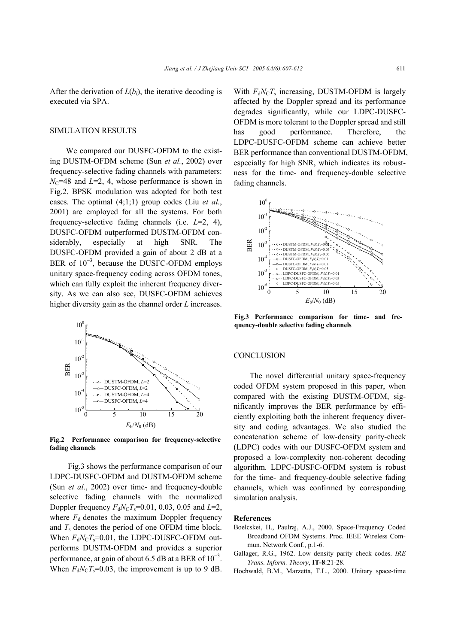After the derivation of  $L(b_l)$ , the iterative decoding is executed via SPA.

# SIMULATION RESULTS

We compared our DUSFC-OFDM to the existing DUSTM-OFDM scheme (Sun *et al.*, 2002) over frequency-selective fading channels with parameters:  $N_{\rm C}$ =48 and *L*=2, 4, whose performance is shown in Fig.2. BPSK modulation was adopted for both test cases. The optimal (4;1;1) group codes (Liu *et al.*, 2001) are employed for all the systems. For both frequency-selective fading channels (i.e. *L*=2, 4), DUSFC-OFDM outperformed DUSTM-OFDM considerably, especially at high SNR. The DUSFC-OFDM provided a gain of about 2 dB at a BER of  $10^{-3}$ , because the DUSFC-OFDM employs unitary space-frequency coding across OFDM tones, which can fully exploit the inherent frequency diversity. As we can also see, DUSFC-OFDM achieves higher diversity gain as the channel order *L* increases.



**Fig.2 Performance comparison for frequency-selective fading channels**

 Fig.3 shows the performance comparison of our LDPC-DUSFC-OFDM and DUSTM-OFDM scheme (Sun *et al.*, 2002) over time- and frequency-double selective fading channels with the normalized Doppler frequency  $F_dN_cT_s=0.01$ , 0.03, 0.05 and *L*=2, where  $F_d$  denotes the maximum Doppler frequency and *T*s denotes the period of one OFDM time block. When  $F_dN_cT_s$ =0.01, the LDPC-DUSFC-OFDM outperforms DUSTM-OFDM and provides a superior performance, at gain of about 6.5 dB at a BER of  $10^{-3}$ . When  $F_dN_cT_s=0.03$ , the improvement is up to 9 dB.

With  $F_dN_cT_s$  increasing, DUSTM-OFDM is largely affected by the Doppler spread and its performance degrades significantly, while our LDPC-DUSFC-OFDM is more tolerant to the Doppler spread and still has good performance. Therefore, the LDPC-DUSFC-OFDM scheme can achieve better BER performance than conventional DUSTM-OFDM, especially for high SNR, which indicates its robustness for the time- and frequency-double selective fading channels.



**Fig.3 Performance comparison for time- and frequency-double selective fading channels**

# **CONCLUSION**

The novel differential unitary space-frequency coded OFDM system proposed in this paper, when compared with the existing DUSTM-OFDM, significantly improves the BER performance by efficiently exploiting both the inherent frequency diversity and coding advantages. We also studied the concatenation scheme of low-density parity-check (LDPC) codes with our DUSFC-OFDM system and proposed a low-complexity non-coherent decoding algorithm. LDPC-DUSFC-OFDM system is robust for the time- and frequency-double selective fading channels, which was confirmed by corresponding simulation analysis.

#### **References**

- Boelcskei, H., Paulraj, A.J., 2000. Space-Frequency Coded Broadband OFDM Systems. Proc. IEEE Wireless Commun. Network Conf*.*, p.1-6.
- Gallager, R.G., 1962. Low density parity check codes. *IRE Trans. Inform. Theory*, **IT-8**:21-28.
- Hochwald, B.M., Marzetta, T.L., 2000. Unitary space-time